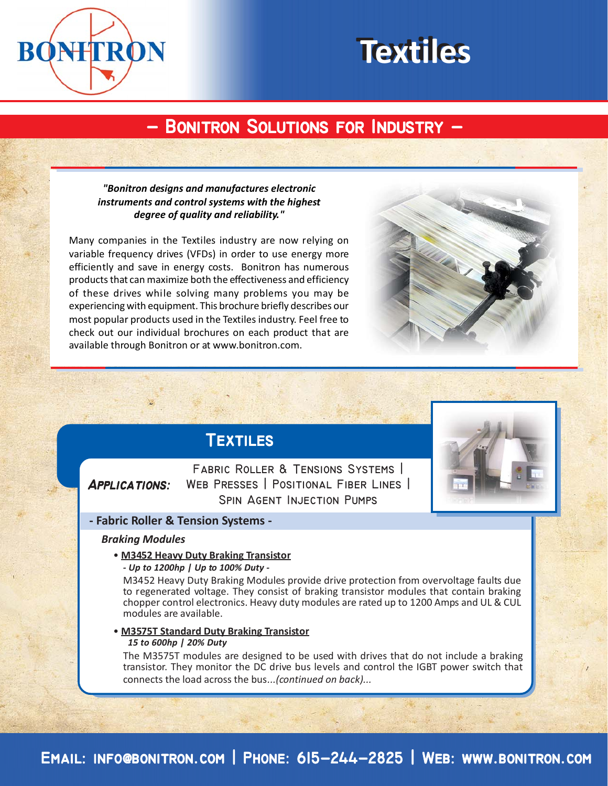

# **Textiles Textiles**

# **- Bonitron Solutions for Industry - - Bonitron Solutions for Industry -**

## *"Bonitron designs and manufactures electronic instruments and control systems with the highest degree of quality and reliability."*

Many companies in the Textiles industry are now relying on variable frequency drives (VFDs) in order to use energy more efficiently and save in energy costs. Bonitron has numerous products that can maximize both the effectiveness and efficiency of these drives while solving many problems you may be experiencing with equipment. This brochure briefly describes our most popular products used in the Textiles industry. Feel free to check out our individual brochures on each product that are available through Bonitron or at www.bonitron.com.



## **Textiles**

# **Applications:**

**Fabric Roller & Tensions Systems | Web Presses | Positional Fiber Lines | Spin Agent Injection Pumps**



## **- Fabric Roller & Tension Systems -**

### *Braking Modules*

• **M3452 Heavy Duty Braking Transistor**

*- Up to 1200hp | Up to 100% Duty -*

M3452 Heavy Duty Braking Modules provide drive protection from overvoltage faults due to regenerated voltage. They consist of braking transistor modules that contain braking chopper control electronics. Heavy duty modules are rated up to 1200 Amps and UL & CUL modules are available.

 • **M3575T Standard Duty Braking Transistor**  *15 to 600hp | 20% Duty*

The M3575T modules are designed to be used with drives that do not include a braking transistor. They monitor the DC drive bus levels and control the IGBT power switch that connects the load across the bus*...(continued on back)...*